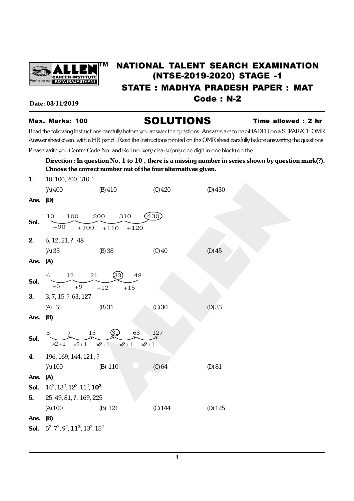

# **TM** NATIONAL TALENT SEARCH EXAMINATION (NTSE-2019-2020) STAGE -1 STATE : MADHYA PRADESH PAPER : MAT Date: 03/11/2019 **Code : N-2**

# Max. Marks: 100 **SOLUTIONS** Time allowed : 2 hr

Read the following instructions carefully before you answer the questions. Answers are to be SHADED on a SEPARATE OMR Answer sheet given, with a HB pencil. Read the Instructions printed on the OMR sheet carefully before answering the questions.

Please write you Centre Code No. and Roll no. very clearly (only one digit in one block) on the

### Direction : In question No. 1 to 10, there is a missing number in series shown by question mark(?). Choose the correct number out of the four alternatives given.

| 1.       | 10, 100, 200, 310, ?                             |                                              |           |           |  |  |  |  |
|----------|--------------------------------------------------|----------------------------------------------|-----------|-----------|--|--|--|--|
|          | (A)400                                           | (B)410                                       | $(C)$ 420 | $(D)$ 430 |  |  |  |  |
| Ans. (D) |                                                  |                                              |           |           |  |  |  |  |
| Sol.     | 100<br>10                                        | 200<br>310                                   | 430       |           |  |  |  |  |
|          | $+90$<br>$+100$                                  | $+110$<br>$+120$                             |           |           |  |  |  |  |
| 2.       | $6, 12, 21, ?$ , 48                              |                                              |           |           |  |  |  |  |
|          | (A) 33                                           | $(B)$ 38                                     | $(C)$ 40  | $(D)$ 45  |  |  |  |  |
| Ans. (A) |                                                  |                                              |           |           |  |  |  |  |
|          | 6<br>12 21                                       | (33)<br>48                                   |           |           |  |  |  |  |
| Sol.     | $+6$<br>$+9$                                     | $+12$<br>$+15$                               |           |           |  |  |  |  |
| 3.       | 3, 7, 15, ?, 63, 127                             |                                              |           |           |  |  |  |  |
|          | (A) 35                                           | (B) 31                                       | (C)30     | $(D)$ 33  |  |  |  |  |
| Ans.     | <b>(B)</b>                                       |                                              |           |           |  |  |  |  |
| Sol.     | 3<br>15<br>7                                     | G)<br>63                                     | 127       |           |  |  |  |  |
|          | $\times 1$<br>$\times 2+1$                       | $\times 2+1$<br>$\times 2+1$<br>$\times 2+1$ |           |           |  |  |  |  |
| 4.       | 196, 169, 144, 121, ?                            |                                              |           |           |  |  |  |  |
|          | (A) 100                                          | (B) 110                                      | (C) 64    | (D) 81    |  |  |  |  |
| Ans.     | (A)                                              |                                              |           |           |  |  |  |  |
| Sol.     | $14^2$ , $13^2$ , $12^2$ , $11^2$ , $10^2$       |                                              |           |           |  |  |  |  |
| 5.       | 25, 49, 81, ?, 169, 225                          |                                              |           |           |  |  |  |  |
|          | (A) 100                                          | (B) 121                                      | $(C)$ 144 | $(D)$ 125 |  |  |  |  |
| Ans.     | <b>(B)</b>                                       |                                              |           |           |  |  |  |  |
| Sol.     | $5^2$ , $7^2$ , $9^2$ , $11^2$ , $13^2$ , $15^2$ |                                              |           |           |  |  |  |  |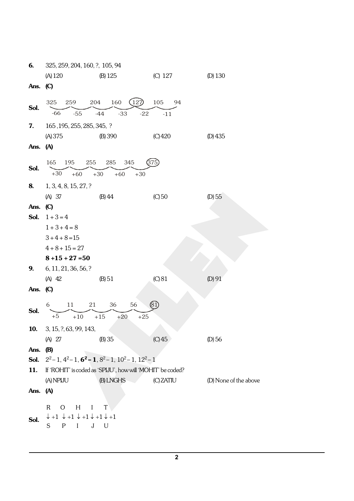| 6.         | 325, 259, 204, 160, ?, 105, 94                                                  |                         |           |                       |  |  |
|------------|---------------------------------------------------------------------------------|-------------------------|-----------|-----------------------|--|--|
|            | (A) 120                                                                         | $(B)$ 125               | (C) 127   | $(D)$ 130             |  |  |
| Ans. $(C)$ |                                                                                 |                         |           |                       |  |  |
| Sol.       | 325<br>259                                                                      | 204<br>160<br>(127      | 105<br>94 |                       |  |  |
|            | $-66$<br>$-55$                                                                  | $-44$<br>$-33$<br>$-22$ | $-11$     |                       |  |  |
| 7.         | 165, 195, 255, 285, 345, ?                                                      |                         |           |                       |  |  |
|            | (A) 375                                                                         | (B) 390                 | (C)420    | $(D)$ 435             |  |  |
| Ans.       | (A)                                                                             |                         |           |                       |  |  |
|            | 165<br>195                                                                      | 285<br>345<br>255       | 375       |                       |  |  |
| Sol.       | $+30$<br>$+60$                                                                  | $+30$<br>$+60$<br>$+30$ |           |                       |  |  |
| 8.         | 1, 3, 4, 8, 15, 27, ?                                                           |                         |           |                       |  |  |
|            | (A) 37                                                                          | (B) 44                  | $(C)$ 50  | (D) 55                |  |  |
| Ans. (C)   |                                                                                 |                         |           |                       |  |  |
| Sol.       | $1 + 3 = 4$                                                                     |                         |           |                       |  |  |
|            | $1 + 3 + 4 = 8$                                                                 |                         |           |                       |  |  |
|            | $3 + 4 + 8 = 15$                                                                |                         |           |                       |  |  |
|            | $4 + 8 + 15 = 27$                                                               |                         |           |                       |  |  |
|            | $8 + 15 + 27 = 50$                                                              |                         |           |                       |  |  |
| 9.         | 6, 11, 21, 36, 56, ?                                                            |                         |           |                       |  |  |
|            | (A) 42                                                                          | (B) 51                  | $(C)$ 81  | $(D)$ 91              |  |  |
| Ans.       | $\mathcal{C}$                                                                   |                         |           |                       |  |  |
|            | (81)<br>6<br>36<br>56<br>11<br>21                                               |                         |           |                       |  |  |
| Sol.       | $+5$<br>$+10\,$<br>$+15$<br>$+20$<br>$+25$                                      |                         |           |                       |  |  |
| 10.        | $3, 15, ?$ , 63, 99, 143,                                                       |                         |           |                       |  |  |
|            | (A) 27                                                                          | (B) 35                  | $(C)$ 45  | (D) 56                |  |  |
| Ans.       | <b>(B)</b>                                                                      |                         |           |                       |  |  |
| Sol.       | $2^2-1$ , $4^2-1$ , $6^2-1$ , $8^2-1$ , $10^2-1$ , $12^2-1$                     |                         |           |                       |  |  |
| 11.        | If 'ROHIT' is coded as 'SPIJU', how will 'MOHIT' be coded?                      |                         |           |                       |  |  |
|            | (A) NPIJU                                                                       | (B) LNGHS               | (C) ZATIU | (D) None of the above |  |  |
| Ans.       | (A)                                                                             |                         |           |                       |  |  |
|            | H<br>R<br>Ο                                                                     | I<br>T                  |           |                       |  |  |
| Sol.       | $\downarrow$ +1 $\downarrow$ +1 $\downarrow$ +1 $\downarrow$ +1 $\downarrow$ +1 |                         |           |                       |  |  |
|            | S<br>P <sub>1</sub><br>$\mathbf{I}$                                             | J U                     |           |                       |  |  |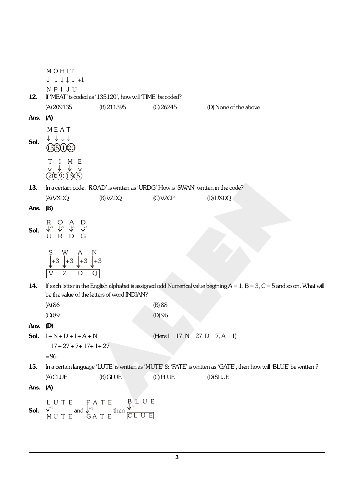$\downarrow$   $\downarrow$   $\downarrow$   $\downarrow$   $\downarrow$  +1 MOHIT NPI JU 12. If 'MEAT' is coded as '135120', how will 'TIME' be coded? (A) 209135 (B) 211395 (C) 26245 (D) None of the above Ans. (A) Sol.  $\downarrow \downarrow \downarrow \downarrow$ M E A T  $135020$ T I M E  $(20(9)(13)(5)$ 13. In a certain code, 'ROAD' is written as 'URDG' How is 'SWAN' written in the code? (A) VXDQ (B) VZDQ (C) VZCP (D) UXDQ Ans. (B) Sol. R O A D U R D G +3 +3 +3 +3 S W A N  $Z$  D Q  $+3$   $+3$   $+3$   $+3$   $+3$ 14. If each letter in the English alphabet is assigned odd Numerical value begining  $A = 1$ ,  $B = 3$ ,  $C = 5$  and so on. What will be the value of the letters of word INDIAN? (A) 86 (B) 88 (C) 89 (D) 96 Ans. (D) **Sol.**  $I + N + D + I + A + N$  (Here  $I = 17, N = 27, D = 7, A = 1$ )  $= 17 + 27 + 7 + 17 + 1 + 27$  $= 96$ 15. In a certain language 'LUTE' is written as 'MUTE' & 'FATE' is written as 'GATE', then how will 'BLUE' be written? (A) CLUE (B) GLUE (C) FLUE (D) SLUE Ans. (A) Sol. L U T E M U T E  $t^{+1}$  and F A T E G A T E  $t^{+1}$  then  $B_{\perp+1}$  U E C L U E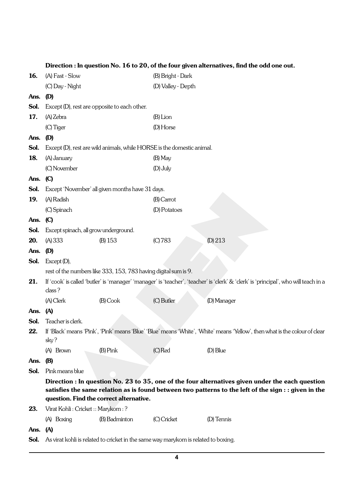|      |                                       |                                                                 |                                                                                    | $\alpha$ . In question for to to 20, or the four given anematives, find the out one                                                                                                                       |
|------|---------------------------------------|-----------------------------------------------------------------|------------------------------------------------------------------------------------|-----------------------------------------------------------------------------------------------------------------------------------------------------------------------------------------------------------|
| 16.  | (A) Fast - Slow                       |                                                                 | (B) Bright - Dark                                                                  |                                                                                                                                                                                                           |
|      | (C) Day - Night                       |                                                                 | (D) Valley - Depth                                                                 |                                                                                                                                                                                                           |
| Ans. | (D)                                   |                                                                 |                                                                                    |                                                                                                                                                                                                           |
| Sol. |                                       | Except (D), rest are opposite to each other.                    |                                                                                    |                                                                                                                                                                                                           |
| 17.  | (A) Zebra                             |                                                                 | $(B)$ Lion                                                                         |                                                                                                                                                                                                           |
|      | (C) Tiger                             |                                                                 | (D) Horse                                                                          |                                                                                                                                                                                                           |
| Ans. | (D)                                   |                                                                 |                                                                                    |                                                                                                                                                                                                           |
| Sol. |                                       |                                                                 | Except (D), rest are wild animals, while HORSE is the domestic animal.             |                                                                                                                                                                                                           |
| 18.  | (A) January                           |                                                                 | (B) May                                                                            |                                                                                                                                                                                                           |
|      | (C) November                          |                                                                 | (D) July                                                                           |                                                                                                                                                                                                           |
| Ans. | $\mathbf{C}$                          |                                                                 |                                                                                    |                                                                                                                                                                                                           |
| Sol. |                                       | Except 'November' all given months have 31 days.                |                                                                                    |                                                                                                                                                                                                           |
| 19.  | (A) Radish                            |                                                                 | (B) Carrot                                                                         |                                                                                                                                                                                                           |
|      | (C) Spinach                           |                                                                 | (D) Potatoes                                                                       |                                                                                                                                                                                                           |
| Ans. | $\mathbf{C}$                          |                                                                 |                                                                                    |                                                                                                                                                                                                           |
| Sol. | Except spinach, all grow underground. |                                                                 |                                                                                    |                                                                                                                                                                                                           |
| 20.  | (A) 333                               | (B) 153                                                         | (C) 783                                                                            | (D) 213                                                                                                                                                                                                   |
| Ans. | (D)                                   |                                                                 |                                                                                    |                                                                                                                                                                                                           |
| Sol. | Except (D),                           |                                                                 |                                                                                    |                                                                                                                                                                                                           |
|      |                                       | rest of the numbers like 333, 153, 783 having digital sum is 9. |                                                                                    |                                                                                                                                                                                                           |
| 21.  | class?                                |                                                                 |                                                                                    | If 'cook' is called 'butler' is 'manager' 'manager' is 'teacher', 'teacher' is 'clerk' & 'clerk' is 'principal', who will teach in a                                                                      |
|      | (A) Clerk                             | $(B)$ Cook                                                      | (C) Butler                                                                         | (D) Manager                                                                                                                                                                                               |
| Ans. | (A)                                   |                                                                 |                                                                                    |                                                                                                                                                                                                           |
| Sol. | Teacher is clerk.                     |                                                                 |                                                                                    |                                                                                                                                                                                                           |
| 22.  | sky?                                  |                                                                 |                                                                                    | If 'Black' means 'Pink', 'Pink' means 'Blue' 'Blue' means 'White', 'White' means 'Yellow', then what is the colour of clear                                                                               |
|      | (A) Brown                             | $(B)$ Pink                                                      | (C) Red                                                                            | (D) Blue                                                                                                                                                                                                  |
| Ans. | <b>(B)</b>                            |                                                                 |                                                                                    |                                                                                                                                                                                                           |
| Sol. | Pink means blue                       |                                                                 |                                                                                    |                                                                                                                                                                                                           |
|      |                                       |                                                                 |                                                                                    | Direction : In question No. 23 to 35, one of the four alternatives given under the each question<br>satisfies the same relation as is found between two patterns to the left of the sign $:$ given in the |
|      |                                       | question. Find the correct alternative.                         |                                                                                    |                                                                                                                                                                                                           |
| 23.  | Virat Kohli: Cricket: Marykom: ?      |                                                                 |                                                                                    |                                                                                                                                                                                                           |
|      | $(A)$ Boxing                          | (B) Badminton                                                   | (C) Cricket                                                                        | (D) Tennis                                                                                                                                                                                                |
| Ans. | (A)                                   |                                                                 |                                                                                    |                                                                                                                                                                                                           |
| Sol. |                                       |                                                                 | As virat kohli is related to cricket in the same way marykom is related to boxing. |                                                                                                                                                                                                           |

## Direction : In question No. 16 to 20, of the four given alternatives, find the odd one out.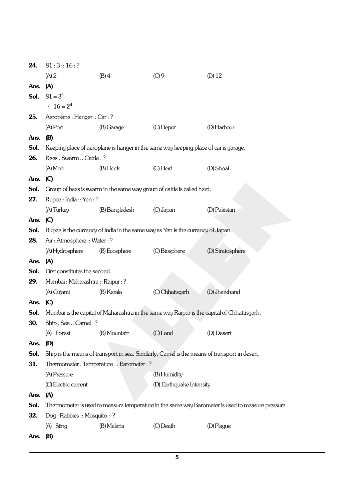| 24.  | 81:3::16:?                             |                                                                                      |                          |                                                                                                   |  |
|------|----------------------------------------|--------------------------------------------------------------------------------------|--------------------------|---------------------------------------------------------------------------------------------------|--|
|      | (A) 2                                  | $(B)$ 4                                                                              | (C)9                     | $(D)$ 12                                                                                          |  |
| Ans. | (A)                                    |                                                                                      |                          |                                                                                                   |  |
| Sol. | $81 = 3^4$                             |                                                                                      |                          |                                                                                                   |  |
|      | $\therefore 16 = 2^4$                  |                                                                                      |                          |                                                                                                   |  |
| 25.  | Aeroplane: Hanger:: Car: ?             |                                                                                      |                          |                                                                                                   |  |
|      | $(A)$ Port                             | (B) Garage                                                                           | (C) Depot                | (D) Harbour                                                                                       |  |
| Ans. | <b>(B)</b>                             |                                                                                      |                          |                                                                                                   |  |
| Sol. |                                        | Keeping place of aeroplane is hanger in the same way keeping place of car is garage. |                          |                                                                                                   |  |
| 26.  | Bees: Swarm:: Cattle: ?                |                                                                                      |                          |                                                                                                   |  |
|      | $(A)$ Mob                              | $(B)$ Flock                                                                          | (C) Herd                 | (D) Shoal                                                                                         |  |
| Ans. | $\mathcal{C}$                          |                                                                                      |                          |                                                                                                   |  |
| Sol. |                                        | Group of bees is swarm in the same way group of cattle is called herd.               |                          |                                                                                                   |  |
| 27.  | Rupee: India:: Yen:?                   |                                                                                      |                          |                                                                                                   |  |
|      | (A) Turkey                             | (B) Bangladesh                                                                       | $(C)$ Japan              | (D) Pakistan                                                                                      |  |
| Ans. | $\mathbf{C}$                           |                                                                                      |                          |                                                                                                   |  |
| Sol. |                                        | Rupee is the currency of India in the same way as Yen is the currency of Japan.      |                          |                                                                                                   |  |
| 28.  | Air: Atmosphere:: Water: ?             |                                                                                      |                          |                                                                                                   |  |
|      | (A) Hydrosphere                        | (B) Ecosphere                                                                        | (C) Biosphere            | (D) Stratosphere                                                                                  |  |
| Ans. | (A)                                    |                                                                                      |                          |                                                                                                   |  |
| Sol. | First constitutes the second.          |                                                                                      |                          |                                                                                                   |  |
| 29.  | Mumbai : Maharashtra :: Raipur : ?     |                                                                                      |                          |                                                                                                   |  |
|      | (A) Gujarat                            | (B) Kerala                                                                           | (C) Chhatisgarh          | (D) Jharkhand                                                                                     |  |
| Ans. | $\mathbf{C}$                           |                                                                                      |                          |                                                                                                   |  |
| Sol. |                                        |                                                                                      |                          | Mumbai is the capital of Maharashtra in the same way Raipur is the capital of Chhattisgarh.       |  |
| 30.  | Ship: Sea:: Camel: ?                   |                                                                                      |                          |                                                                                                   |  |
|      | (A) Forest                             | (B) Mountain                                                                         | (C) Land                 | (D) Desert                                                                                        |  |
| Ans. | (D)                                    |                                                                                      |                          |                                                                                                   |  |
| Sol. |                                        |                                                                                      |                          | Ship is the means of transport in sea. Similarly, Camel is the means of transport in desert.      |  |
| 31.  | Thermometer: Temperature:: Barometer:? |                                                                                      |                          |                                                                                                   |  |
|      | (A) Pressure                           |                                                                                      | (B) Humidity             |                                                                                                   |  |
|      | (C) Electric current                   |                                                                                      | (D) Earthquake Intensity |                                                                                                   |  |
| Ans. | (A)                                    |                                                                                      |                          |                                                                                                   |  |
| Sol. |                                        |                                                                                      |                          | Thermometer is used to measure temperature in the same way Barometer is used to measure pressure. |  |
| 32.  | Dog: Rabbies: Mosquito: ?              |                                                                                      |                          |                                                                                                   |  |
|      | (A) Sting                              | (B) Malaria                                                                          | (C) Death                | (D) Plague                                                                                        |  |
| Ans. | <b>(B)</b>                             |                                                                                      |                          |                                                                                                   |  |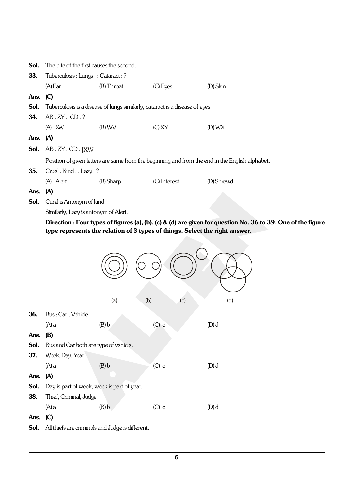|            | <b>Sol.</b> The bite of the first causes the second.                                            |            |                                                                              |            |  |
|------------|-------------------------------------------------------------------------------------------------|------------|------------------------------------------------------------------------------|------------|--|
| 33.        | Tuberculosis : Lungs : : Cataract : ?                                                           |            |                                                                              |            |  |
|            | $(A)$ Ear                                                                                       | (B) Throat | $(C)$ Eyes                                                                   | (D) Skin   |  |
| Ans. $(C)$ |                                                                                                 |            |                                                                              |            |  |
| Sol.       |                                                                                                 |            | Tuberculosis is a disease of lungs similarly, cataract is a disease of eyes. |            |  |
| 34.        | AB:ZY::CD:?                                                                                     |            |                                                                              |            |  |
|            | $(A)$ XW                                                                                        | $(B)$ WV   | (C) XY                                                                       | $(D)$ WX   |  |
| Ans. $(A)$ |                                                                                                 |            |                                                                              |            |  |
|            | <b>Sol.</b> $AB:ZY:CD: \boxed{XW}$                                                              |            |                                                                              |            |  |
|            | Position of given letters are same from the beginning and from the end in the English alphabet. |            |                                                                              |            |  |
| 35.        | Cruel: Kind :: Lazy: ?                                                                          |            |                                                                              |            |  |
|            | (A) Alert                                                                                       | (B) Sharp  | (C) Interest                                                                 | (D) Shrewd |  |
| Ans. $(A)$ |                                                                                                 |            |                                                                              |            |  |

Sol. Curel is Antonym of kind

Similarly, Lazy is antonym of Alert.

Direction : Four types of figures (a), (b), (c) & (d) are given for question No. 36 to 39. One of the figure type represents the relation of 3 types of things. Select the right answer.

|      |                                                  | (b)<br>(a) | (c)     | (d)   |
|------|--------------------------------------------------|------------|---------|-------|
| 36.  | Bus; Car; Vehicle                                |            |         |       |
|      | $(A)$ a                                          | (B) b      | $(C)$ c | (D) d |
| Ans. | <b>(B)</b>                                       |            |         |       |
| Sol. | Bus and Car both are type of vehicle.            |            |         |       |
| 37.  | Week, Day, Year                                  |            |         |       |
|      | $(A)$ a                                          | (B) b      | $(C)$ c | (D) d |
| Ans. | (A)                                              |            |         |       |
| Sol. | Day is part of week, week is part of year.       |            |         |       |
| 38.  | Thief, Criminal, Judge                           |            |         |       |
|      | $(A)$ a                                          | (B) b      | $(C)$ c | (D) d |
| Ans. | $\left(\text{C}\right)$                          |            |         |       |
| Sol. | All thiefs are criminals and Judge is different. |            |         |       |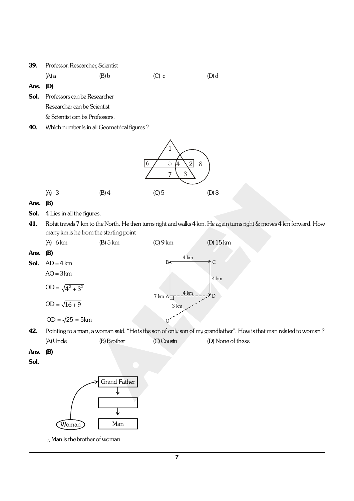| <b>39.</b> Professor, Researcher, Scientist |       |         |         |  |
|---------------------------------------------|-------|---------|---------|--|
| $(A)$ a                                     | (B) b | $(C)$ c | $(D)$ d |  |

Ans. (D)

- Sol. Professors can be Researcher Researcher can be Scientist & Scientist can be Professors.
- 40. Which number is in all Geometrical figures?



#### Ans. (B)

- Sol. 4 Lies in all the figures.
- 41. Rohit travels 7 km to the North. He then turns right and walks 4 km. He again turns right & moves 4 km forward. How many km is he from the starting point

|          | (A)<br>6km              | $(B)$ 5 km                                                                    | (C)9 km        | $(D)$ 15 km   |
|----------|-------------------------|-------------------------------------------------------------------------------|----------------|---------------|
| Ans. (B) |                         |                                                                               | $4 \text{ km}$ |               |
| Sol.     | $AD = 4 km$             |                                                                               | В∧             | $\mathcal{C}$ |
|          | $AO = 3 km$             |                                                                               |                | 4 km          |
|          | OD = $\sqrt{4^2 + 3^2}$ |                                                                               | 4 km<br>7 km A | D             |
|          | $OD = \sqrt{16 + 9}$    |                                                                               | 3 km           |               |
|          | $OD = \sqrt{25} = 5km$  |                                                                               |                |               |
| 42.      |                         | Pointing to a man, a woman said, "He is the son of only son of my grandfather |                |               |

 $r$ ". How is that man related to woman ? (A) Uncle (B) Brother (C) Cousin (D) None of these

Ans. (B)

Sol.



 $\therefore$  Man is the brother of woman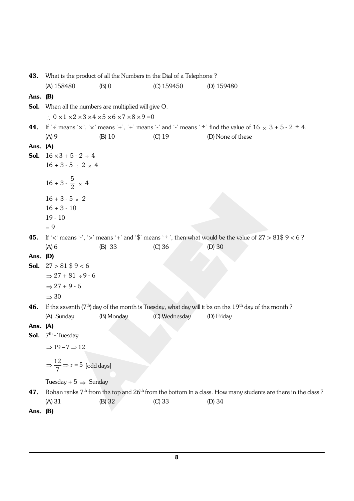43. What is the product of all the Numbers in the Dial of a Telephone? (A) 158480 (B) 0 (C) 159450 (D) 159480 Ans. (B) Sol. When all the numbers are multiplied will give O.  $\therefore$  0 × 1 × 2 × 3 × 4 × 5 × 6 × 7 × 8 × 9 = 0 44. If  $\div$  means  $\div$ ,  $\div$  means  $\div$ ,  $\div$  means  $\div$  and  $\div$  means  $\div$  find the value of 16  $\times$  3 + 5 - 2  $\div$  4. (A) 9 (B) 10 (C) 19 (D) None of these Ans. (A) **Sol.**  $16 \times 3 + 5 - 2 \div 4$  $16 + 3 - 5 \div 2 \times 4$  $16 + 3 - \frac{5}{2} \times 4$  $16 + 3 - 5 \times 2$  $16 + 3 - 10$ 19 - 10  $= 9$ 45. If ' $\lt'$  means '-', '>' means '+' and '\$' means '+', then what would be the value of  $27 > 81\frac{6}{9} < 6$ ? (A) 6 (B) 33 (C) 36 (D) 30 Ans. (D) **Sol.**  $27 > 81$   $\frac{6}{5}$   $9 < 6$  $\Rightarrow$  27 + 81  $\div$  9 - 6  $\rightarrow$  27 + 9 - 6  $\Rightarrow$  30 **46.** If the seventh  $(7<sup>th</sup>)$  day of the month is Tuesday, what day will it be on the  $19<sup>th</sup>$  day of the month ? (A) Sunday (B) Monday (C) Wednesday (D) Friday Ans. (A) **Sol.**  $7^{\text{th}}$  - Tuesday  $\Rightarrow 19 - 7 \Rightarrow 12$  $\Rightarrow \frac{12}{7} \Rightarrow r = 5$  [odd days] Tuesday +  $5 \Rightarrow$  Sunday 47. Rohan ranks  $7<sup>th</sup>$  from the top and  $26<sup>th</sup>$  from the bottom in a class. How many students are there in the class ? (A) 31 (B) 32 (C) 33 (D) 34 Ans. (B)

**8**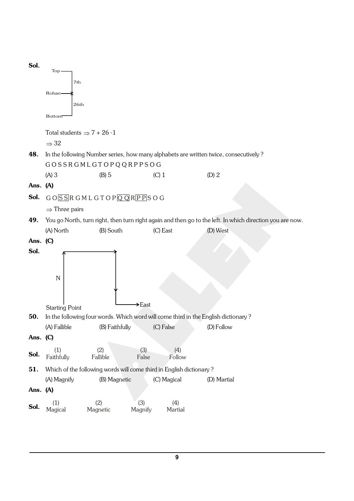

**9**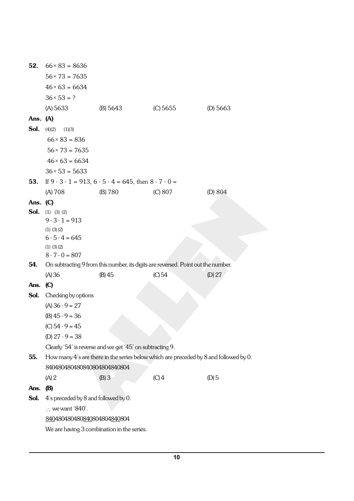| 52.        | $66 \times 83 = 8636$                                                                 |                                                               |                                                                                   |           |
|------------|---------------------------------------------------------------------------------------|---------------------------------------------------------------|-----------------------------------------------------------------------------------|-----------|
|            | $56 \times 73 = 7635$                                                                 |                                                               |                                                                                   |           |
|            | $46 \times 63 = 6634$                                                                 |                                                               |                                                                                   |           |
|            | $36 \times 53 = ?$                                                                    |                                                               |                                                                                   |           |
|            | (A) 5633                                                                              | (B) 5643                                                      | (C) 5655                                                                          | (D) 5663  |
| Ans. $(A)$ |                                                                                       |                                                               |                                                                                   |           |
| Sol.       | (4)(2)<br>(1)(3)                                                                      |                                                               |                                                                                   |           |
|            | $66 \times 83 = 836$                                                                  |                                                               |                                                                                   |           |
|            | $56 \times 73 = 7635$                                                                 |                                                               |                                                                                   |           |
|            | $46 \times 63 = 6634$                                                                 |                                                               |                                                                                   |           |
|            | $36 \times 53 = 5633$                                                                 |                                                               |                                                                                   |           |
| 53.        |                                                                                       | If $9 - 3 - 1 = 913$ , $6 - 5 - 4 = 645$ , then $8 - 7 - 0 =$ |                                                                                   |           |
|            | (A) 708                                                                               | (B) 780                                                       | (C) 807                                                                           | (D) $804$ |
| Ans. $(C)$ |                                                                                       |                                                               |                                                                                   |           |
| Sol.       | $(1)$ $(3)$ $(2)$                                                                     |                                                               |                                                                                   |           |
|            | $9 - 3 - 1 = 913$                                                                     |                                                               |                                                                                   |           |
|            | $(1)$ $(3)$ $(2)$<br>$6 - 5 - 4 = 645$                                                |                                                               |                                                                                   |           |
|            | $(1)$ $(3)$ $(2)$                                                                     |                                                               |                                                                                   |           |
|            | $8 - 7 - 0 = 807$                                                                     |                                                               |                                                                                   |           |
| 54.        |                                                                                       |                                                               | On subtracting 9 from this number, its digits are reversed. Point out the number. |           |
|            | (A) 36                                                                                | (B) 45                                                        | (C) 54                                                                            | (D) $27$  |
| Ans.       | $\mathbf{C}$                                                                          |                                                               |                                                                                   |           |
| Sol.       | Checking by options                                                                   |                                                               |                                                                                   |           |
|            | $(A)$ 36 - 9 = 27                                                                     |                                                               |                                                                                   |           |
|            | $(B)$ 45 - 9 = 36                                                                     |                                                               |                                                                                   |           |
|            | $(C)$ 54 - 9 = 45                                                                     |                                                               |                                                                                   |           |
|            | (D) $27 - 9 = 38$                                                                     |                                                               |                                                                                   |           |
|            |                                                                                       | Clearly '54' is reverse and we get '45' on subtracting 9.     |                                                                                   |           |
| 55.        | How many 4's are there in the series below which are preceded by 8 and followed by 0. |                                                               |                                                                                   |           |
|            | 840480480480840804804840804                                                           |                                                               |                                                                                   |           |
|            | (A) 2                                                                                 | (B)3                                                          | $(C)$ 4                                                                           | $(D)$ 5   |
| Ans.       | <b>(B)</b>                                                                            |                                                               |                                                                                   |           |
| Sol.       | 4's preceded by 8 and followed by 0.<br>$\therefore$ we want '840'.                   |                                                               |                                                                                   |           |
|            | 840480480480840804804840804                                                           |                                                               |                                                                                   |           |
|            | We are having 3 combination in the series.                                            |                                                               |                                                                                   |           |
|            |                                                                                       |                                                               |                                                                                   |           |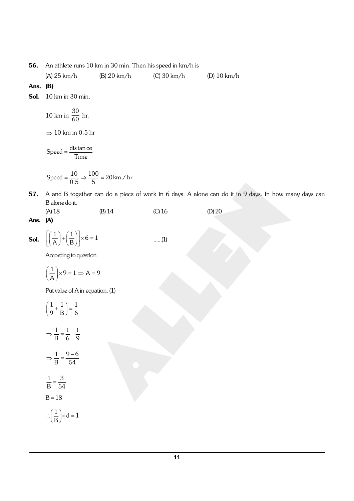56. An athlete runs 10 km in 30 min. Then his speed in km/h is

(A) 25 km/h (B) 20 km/h (C) 30 km/h (D) 10 km/h

#### Ans. (B)

**Sol.** 10 km in 30 min.

10 km in 
$$
\frac{30}{60}
$$
 hr.

 $\Rightarrow$  10 km in 0.5 hr

 $Speed = \frac{distance}{Time}$ 

$$
Speed = \frac{10}{0.5} \Rightarrow \frac{100}{5} = 20 \,\text{km} / \,\text{hr}
$$

57. A and B together can do a piece of work in 6 days. A alone can do it in 9 days. In how many days can B alone do it.

| $(A)$ 18 | $(B)$ 14 | $(C)$ 16 | $(D)$ 20 |
|----------|----------|----------|----------|
| .        |          |          |          |

### Ans. (A)

i.

**Sol.** 
$$
\left[\left(\frac{1}{A}\right) + \left(\frac{1}{B}\right)\right] \times 6 = 1
$$
 ......(1)

According to question

$$
\left(\frac{1}{A}\right) \times 9 = 1 \Rightarrow A = 9
$$

Put value of A in equation. (1)

$$
\left(\frac{1}{9} + \frac{1}{B}\right) = \frac{1}{6}
$$

$$
\Rightarrow \frac{1}{B} = \frac{1}{6} - \frac{1}{9}
$$

$$
\Rightarrow \frac{1}{B} = \frac{9 - 6}{54}
$$

$$
\frac{1}{B} = \frac{3}{54}
$$

$$
B = 18
$$

$$
\therefore \left(\frac{1}{B}\right) \times d = 1
$$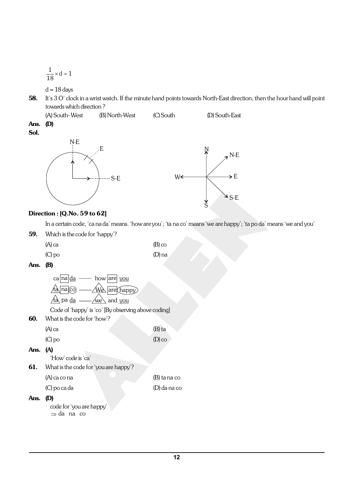$$
\frac{1}{18} \times d = 1
$$

 $d = 18$  days

- 58. It's 3 O' clock in a wrist watch. If the minute hand points towards North-East direction, then the hour hand will point towards which direction ?
- (A) South- West (B) North-West (C) South (D) South-East Ans. (D)

Sol.



### Direction : [Q.No. 59 to 62]

In a certain code, 'ca na da' means. 'how are you'; 'ta na co' means 'we are happy'; 'ta po da' means 'we and you'

59. Which is the code for 'happy'?

| $(A)$ ca | $(B)$ co |
|----------|----------|
| $(C)$ po | $(D)$ na |

#### Ans. (B)

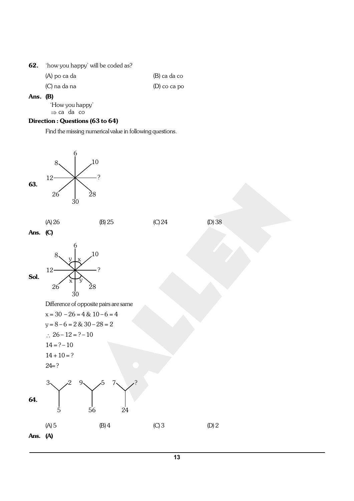| 62. | how you happy' will be coded as? |
|-----|----------------------------------|
|-----|----------------------------------|

| (A) po ca da | (B) ca da co   |
|--------------|----------------|
| (C) na da na | $(D)$ co ca po |

#### Ans. (B)

'How you happy'  $\Rightarrow$  ca da co

# Direction : Questions (63 to 64)

Find the missing numerical value in following questions.

![](_page_12_Figure_6.jpeg)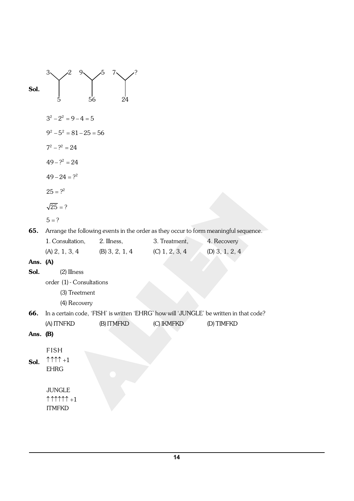| Sol.       | $3\checkmark$<br>$9\sqrt{ }$<br>2<br>5<br>56                | żЬ<br>7、<br>24                               |               |                                                                                        |
|------------|-------------------------------------------------------------|----------------------------------------------|---------------|----------------------------------------------------------------------------------------|
|            | $3^2 - 2^2 = 9 - 4 = 5$                                     |                                              |               |                                                                                        |
|            | $9^2 - 5^2 = 81 - 25 = 56$                                  |                                              |               |                                                                                        |
|            | $7^2 - ?^2 = 24$                                            |                                              |               |                                                                                        |
|            | $49 - ?^2 = 24$                                             |                                              |               |                                                                                        |
|            | $49 - 24 = ?^2$                                             |                                              |               |                                                                                        |
|            | $25 = ?^2$                                                  |                                              |               |                                                                                        |
|            | $\sqrt{25}$ = ?                                             |                                              |               |                                                                                        |
|            | $5 = ?$                                                     |                                              |               |                                                                                        |
| 65.        |                                                             |                                              |               | Arrange the following events in the order as they occur to form meaningful sequence.   |
|            | 1. Consultation,                                            | 2. Illness,                                  | 3. Treatment, | 4. Recovery                                                                            |
|            |                                                             | (A) 2, 1, 3, 4 (B) 3, 2, 1, 4 (C) 1, 2, 3, 4 |               | $(D)$ 3, 1, 2, 4                                                                       |
| Ans. (A)   |                                                             |                                              |               |                                                                                        |
| Sol.       | (2) Illness                                                 |                                              |               |                                                                                        |
|            | order (1) - Consultations                                   |                                              |               |                                                                                        |
|            | (3) Treetment                                               |                                              |               |                                                                                        |
|            | (4) Recovery                                                |                                              |               |                                                                                        |
| 66.        |                                                             |                                              |               | In a certain code, 'FISH' is written 'EHRG' how will 'JUNGLE' be written in that code? |
|            | (A) ITNFKD                                                  | (B) ITMFKD                                   | (C) IKMFKD    | (D) TIMFKD                                                                             |
| Ans. $(B)$ |                                                             |                                              |               |                                                                                        |
|            |                                                             |                                              |               |                                                                                        |
|            | <b>FISH</b>                                                 |                                              |               |                                                                                        |
| Sol.       | $\uparrow \uparrow \uparrow \uparrow +1$<br><b>EHRG</b>     |                                              |               |                                                                                        |
|            |                                                             |                                              |               |                                                                                        |
|            | <b>JUNGLE</b>                                               |                                              |               |                                                                                        |
|            | $\uparrow \uparrow \uparrow \uparrow \uparrow \uparrow + 1$ |                                              |               |                                                                                        |
|            | <b>ITMFKD</b>                                               |                                              |               |                                                                                        |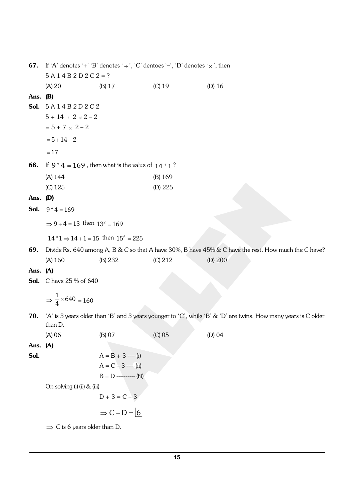|            | <b>67.</b> If 'A' denotes '+' 'B' denotes ' $\div$ ', 'C' dentoes '-', 'D' denotes ' $\times$ ', then                     |                                                         |           |                                                                                                      |  |
|------------|---------------------------------------------------------------------------------------------------------------------------|---------------------------------------------------------|-----------|------------------------------------------------------------------------------------------------------|--|
|            | $5 A 1 4 B 2 D 2 C 2 = ?$                                                                                                 |                                                         |           |                                                                                                      |  |
|            | $(A)$ 20                                                                                                                  | (B) 17                                                  | $(C)$ 19  | $(D)$ 16                                                                                             |  |
| Ans. $(B)$ |                                                                                                                           |                                                         |           |                                                                                                      |  |
|            | Sol. $5A14B2D2C2$                                                                                                         |                                                         |           |                                                                                                      |  |
|            | $5 + 14 \div 2 \times 2 - 2$                                                                                              |                                                         |           |                                                                                                      |  |
|            | $= 5 + 7 \times 2 - 2$                                                                                                    |                                                         |           |                                                                                                      |  |
|            | $= 5 + 14 - 2$                                                                                                            |                                                         |           |                                                                                                      |  |
|            | $=17$                                                                                                                     |                                                         |           |                                                                                                      |  |
| 68.        |                                                                                                                           | If $9 * 4 = 169$ , then what is the value of $14 * 1$ ? |           |                                                                                                      |  |
|            | (A) 144                                                                                                                   |                                                         | $(B)$ 169 |                                                                                                      |  |
|            | $(C)$ 125                                                                                                                 |                                                         | (D) 225   |                                                                                                      |  |
| Ans. $(D)$ |                                                                                                                           |                                                         |           |                                                                                                      |  |
| Sol.       | $9 * 4 = 169$                                                                                                             |                                                         |           |                                                                                                      |  |
|            | $\Rightarrow$ 9 + 4 = 13 then $13^2$ = 169                                                                                |                                                         |           |                                                                                                      |  |
|            |                                                                                                                           | $14 * 1 \Rightarrow 14 + 1 = 15$ then $15^2 = 225$      |           |                                                                                                      |  |
| 69.        |                                                                                                                           |                                                         |           | Divide Rs. 640 among A, B & C so that A have 30%, B have 45% & C have the rest. How much the C have? |  |
|            | (A) 160                                                                                                                   | (B) 232                                                 | (C) 212   | (D) 200                                                                                              |  |
| Ans. (A)   |                                                                                                                           |                                                         |           |                                                                                                      |  |
|            | <b>Sol.</b> C have 25 % of 640                                                                                            |                                                         |           |                                                                                                      |  |
|            | $\Rightarrow$ $\frac{1}{4} \times 640 = 160$                                                                              |                                                         |           |                                                                                                      |  |
|            |                                                                                                                           |                                                         |           |                                                                                                      |  |
| 70.        | 'A' is 3 years older than 'B' and 3 years younger to 'C', while 'B' & 'D' are twins. How many years is C older<br>than D. |                                                         |           |                                                                                                      |  |
|            | $(A)$ 06                                                                                                                  | (B) 07                                                  | $(C)$ 05  | $(D)$ 04                                                                                             |  |
| Ans. (A)   |                                                                                                                           |                                                         |           |                                                                                                      |  |
| Sol.       |                                                                                                                           | $A = B + 3$ ---- (i)                                    |           |                                                                                                      |  |
|            |                                                                                                                           | $A = C - 3$ -----(ii)                                   |           |                                                                                                      |  |
|            |                                                                                                                           | $B = D$ ---------- (iii)                                |           |                                                                                                      |  |
|            | On solving (i) (ii) & (iii)                                                                                               |                                                         |           |                                                                                                      |  |
|            |                                                                                                                           | $D + 3 = C - 3$                                         |           |                                                                                                      |  |
|            |                                                                                                                           | $\Rightarrow$ C – D = 6                                 |           |                                                                                                      |  |
|            | $\Rightarrow$ C is 6 years older than D.                                                                                  |                                                         |           |                                                                                                      |  |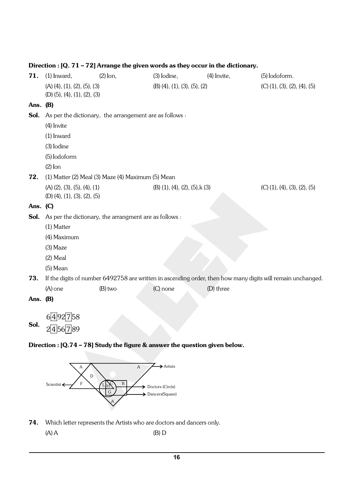| 71.        | $(1)$ Inward,                               | $(2)$ lon,                                              | $(3)$ Iodine,                   | $(4)$ Invite, | (5) Iodoform.                                                                                               |
|------------|---------------------------------------------|---------------------------------------------------------|---------------------------------|---------------|-------------------------------------------------------------------------------------------------------------|
|            | $(A)$ $(4)$ , $(1)$ , $(2)$ , $(5)$ , $(3)$ |                                                         | $(B)$ (4), (1), (3), (5), (2)   |               | $(C)$ $(1)$ , $(3)$ , $(2)$ , $(4)$ , $(5)$                                                                 |
|            | $(D)$ (5), (4), (1), (2), (3)               |                                                         |                                 |               |                                                                                                             |
| Ans. $(B)$ |                                             |                                                         |                                 |               |                                                                                                             |
| Sol.       |                                             | As per the dictionary, the arrangement are as follows : |                                 |               |                                                                                                             |
|            | (4) Invite                                  |                                                         |                                 |               |                                                                                                             |
|            | $(1)$ Inward                                |                                                         |                                 |               |                                                                                                             |
|            | (3) Iodine                                  |                                                         |                                 |               |                                                                                                             |
|            | (5) Iodoform                                |                                                         |                                 |               |                                                                                                             |
|            | $(2)$ Ion                                   |                                                         |                                 |               |                                                                                                             |
| 72.        |                                             | (1) Matter (2) Meal (3) Maze (4) Maximum (5) Mean       |                                 |               |                                                                                                             |
|            | $(A)$ $(2)$ , $(3)$ , $(5)$ , $(4)$ , $(1)$ |                                                         | $(B)$ (1), (4), (2), (5), k (3) |               | $(C)$ $(1)$ , $(4)$ , $(3)$ , $(2)$ , $(5)$                                                                 |
|            | $(D)$ (4), (1), (3), (2), (5)               |                                                         |                                 |               |                                                                                                             |
| Ans. $(C)$ |                                             |                                                         |                                 |               |                                                                                                             |
| Sol.       |                                             | As per the dictionary, the arrangment are as follows :  |                                 |               |                                                                                                             |
|            | (1) Matter                                  |                                                         |                                 |               |                                                                                                             |
|            | (4) Maximum                                 |                                                         |                                 |               |                                                                                                             |
|            | $(3)$ Maze                                  |                                                         |                                 |               |                                                                                                             |
|            | $(2)$ Meal                                  |                                                         |                                 |               |                                                                                                             |
|            | $(5)$ Mean                                  |                                                         |                                 |               |                                                                                                             |
| 73.        |                                             |                                                         |                                 |               | If the digits of number 6492758 are written in ascending order, then how many digits will remain unchanged. |
|            | $(A)$ one                                   | $(B)$ two                                               | $(C)$ none                      | (D) three     |                                                                                                             |
| Ans. $(B)$ |                                             |                                                         |                                 |               |                                                                                                             |
|            |                                             |                                                         |                                 |               |                                                                                                             |
| Sol.       | 6492758                                     |                                                         |                                 |               |                                                                                                             |
|            | 2456789                                     |                                                         |                                 |               |                                                                                                             |

## Direction : [Q. 71 – 72] Arrange the given words as they occur in the dictionary.

![](_page_15_Figure_2.jpeg)

![](_page_15_Figure_3.jpeg)

74. Which letter represents the Artists who are doctors and dancers only.

 $(A) A$  (B) D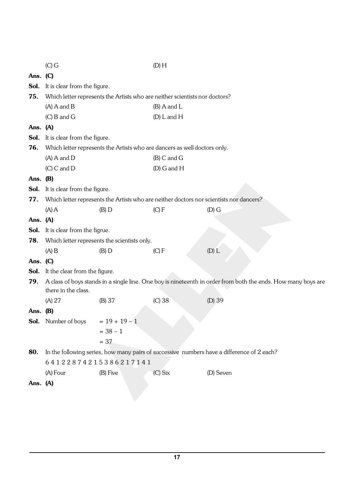|            | $(C)$ G                                                                                                                              |                                                                             | (D) H           |                                                                                            |
|------------|--------------------------------------------------------------------------------------------------------------------------------------|-----------------------------------------------------------------------------|-----------------|--------------------------------------------------------------------------------------------|
| Ans. (C)   |                                                                                                                                      |                                                                             |                 |                                                                                            |
| Sol.       | It is clear from the figure.                                                                                                         |                                                                             |                 |                                                                                            |
| 75.        |                                                                                                                                      | Which letter represents the Artists who are neither scientists nor doctors? |                 |                                                                                            |
|            | $(A)$ A and B                                                                                                                        |                                                                             | $(B)$ A and L   |                                                                                            |
|            | $(C)$ B and G                                                                                                                        |                                                                             | $(D)$ L and H   |                                                                                            |
| Ans. (A)   |                                                                                                                                      |                                                                             |                 |                                                                                            |
| Sol.       | It is clear from the figure.                                                                                                         |                                                                             |                 |                                                                                            |
| 76.        |                                                                                                                                      | Which letter represents the Artists who are dancers as well doctors only.   |                 |                                                                                            |
|            | $(A)$ A and D                                                                                                                        |                                                                             | $(B)$ C and G   |                                                                                            |
|            | $(C)$ C and D                                                                                                                        |                                                                             | $(D)$ G and $H$ |                                                                                            |
| Ans. $(B)$ |                                                                                                                                      |                                                                             |                 |                                                                                            |
| Sol.       | It is clear from the figure.                                                                                                         |                                                                             |                 |                                                                                            |
| 77.        |                                                                                                                                      |                                                                             |                 | Which letter represents the Artists who are neither doctors nor scientists nor dancers?    |
|            | $(A)$ A                                                                                                                              | $(B)$ D                                                                     | (C) F           | $(D)$ G                                                                                    |
| Ans. (A)   |                                                                                                                                      |                                                                             |                 |                                                                                            |
| Sol.       | It is clear from the figrue.                                                                                                         |                                                                             |                 |                                                                                            |
| 78.        |                                                                                                                                      | Which letter represents the scientists only.                                |                 |                                                                                            |
|            | $(A)$ B                                                                                                                              | $(B)$ D                                                                     | (C) F           | $(D)$ $L$                                                                                  |
| Ans. $(C)$ |                                                                                                                                      |                                                                             |                 |                                                                                            |
| Sol.       | It the clear from the figure.                                                                                                        |                                                                             |                 |                                                                                            |
| 79.        | A class of boys stands in a single line. One boy is nineteenth in order from both the ends. How many boys are<br>there in the class. |                                                                             |                 |                                                                                            |
|            | (A) 27                                                                                                                               | (B) 37                                                                      | $(C)$ 38        | $(D)$ 39                                                                                   |
| Ans. $(B)$ |                                                                                                                                      |                                                                             |                 |                                                                                            |
|            | <b>Sol.</b> Number of boys                                                                                                           | $= 19 + 19 - 1$                                                             |                 |                                                                                            |
|            |                                                                                                                                      | $= 38 - 1$                                                                  |                 |                                                                                            |
|            |                                                                                                                                      | $= 37$                                                                      |                 |                                                                                            |
| 80.        |                                                                                                                                      |                                                                             |                 | In the following series, how many pairs of successive numbers have a difference of 2 each? |
|            |                                                                                                                                      | 64122874215386217141                                                        |                 |                                                                                            |
|            | $(A)$ Four                                                                                                                           | (B) Five                                                                    | $(C)$ Six       | (D) Seven                                                                                  |
| Ans. $(A)$ |                                                                                                                                      |                                                                             |                 |                                                                                            |
|            |                                                                                                                                      |                                                                             |                 |                                                                                            |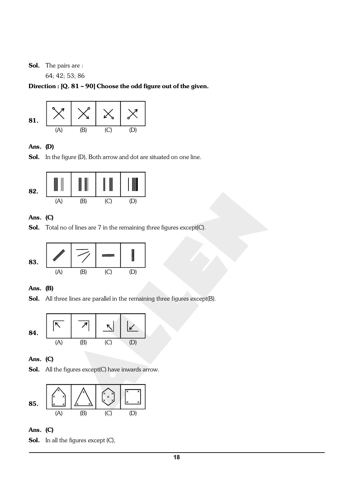#### Sol. The pairs are :

64; 42; 53; 86

#### Direction : [Q. 81 – 90] Choose the odd figure out of the given.

![](_page_17_Figure_3.jpeg)

#### Ans. (D)

Sol. In the figure (D), Both arrow and dot are situated on one line.

![](_page_17_Figure_6.jpeg)

#### Ans. (C)

Sol. Total no of lines are 7 in the remaining three figures except(C).

![](_page_17_Figure_9.jpeg)

#### Ans. (B)

Sol. All three lines are parallel in the remaining three figures except(B).

![](_page_17_Figure_12.jpeg)

#### Ans. (C)

Sol. All the figures except(C) have inwards arrow.

![](_page_17_Figure_15.jpeg)

#### Ans. (C)

Sol. In all the figures except (C),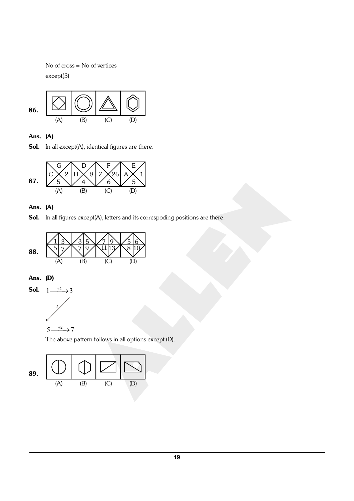No of cross = No of vertices except(3)

![](_page_18_Figure_1.jpeg)

Ans. (A)

Sol. In all except(A), identical figures are there.

![](_page_18_Figure_4.jpeg)

#### Ans. (A)

Sol. In all figures except(A), letters and its correspoding positions are there.

![](_page_18_Figure_7.jpeg)

### Ans. (D)

![](_page_18_Figure_9.jpeg)

![](_page_18_Figure_10.jpeg)

The above pattern follows in all options except (D).

![](_page_18_Figure_12.jpeg)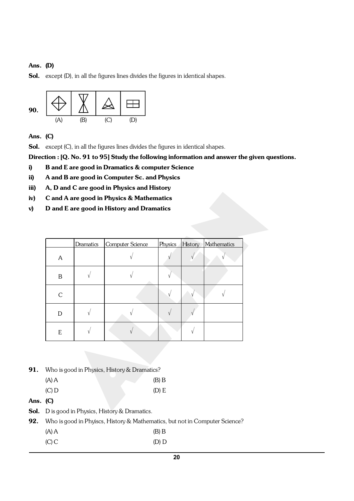#### Ans. (D)

Sol. except (D), in all the figures lines divides the figures in identical shapes.

![](_page_19_Figure_2.jpeg)

Ans. (C)

Sol. except (C), in all the figures lines divides the figures in identical shapes.

Direction : [Q. No. 91 to 95] Study the following information and answer the given questions.

- i) B and E are good in Dramatics & computer Science
- ii) A and B are good in Computer Sc. and Physics
- iii) A, D and C are good in Physics and History
- iv) C and A are good in Physics & Mathematics
- v) D and E are good in History and Dramatics

|   | Dramatics | Computer Science |  | Physics History Mathematics |
|---|-----------|------------------|--|-----------------------------|
| A |           |                  |  |                             |
| Β |           |                  |  |                             |
| C |           |                  |  |                             |
| D |           |                  |  |                             |
| E |           |                  |  |                             |

- 91. Who is good in Physics, History & Dramatics?
	- $(A) A$  (B) B
	- $(C) D$  (D) E
- Ans. (C)
- Sol. D is good in Physics, History & Dramatics.
- 92. Who is good in Phyiscs, History & Mathematics, but not in Computer Science?
	- $(A) A$  (B) B
		- (C) C (D) D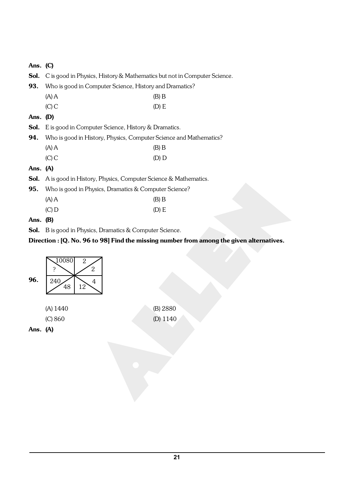| Ans. $(C)$ |                                                                                          |         |  |  |
|------------|------------------------------------------------------------------------------------------|---------|--|--|
| Sol.       | C is good in Physics, History & Mathematics but not in Computer Science.                 |         |  |  |
| 93.        | Who is good in Computer Science, History and Dramatics?                                  |         |  |  |
|            | $(A)$ A                                                                                  | $(B)$ B |  |  |
|            | $(C)$ C                                                                                  | (D) E   |  |  |
| Ans. $(D)$ |                                                                                          |         |  |  |
| Sol.       | E is good in Computer Science, History & Dramatics.                                      |         |  |  |
| 94.        | Who is good in History, Physics, Computer Science and Mathematics?                       |         |  |  |
|            | $(A)$ A                                                                                  | $(B)$ B |  |  |
|            | $(C)$ C                                                                                  | $(D)$ D |  |  |
| Ans. $(A)$ |                                                                                          |         |  |  |
| Sol.       | A is good in History, Physics, Computer Science & Mathematics.                           |         |  |  |
| 95.        | Who is good in Physics, Dramatics & Computer Science?                                    |         |  |  |
|            | $(A)$ A                                                                                  | $(B)$ B |  |  |
|            | $(C)$ D                                                                                  | (D) E   |  |  |
| Ans. $(B)$ |                                                                                          |         |  |  |
|            | <b>Sol.</b> B is good in Physics, Dramatics & Computer Science.                          |         |  |  |
|            | Direction : [Q. No. 96 to 98] Find the missing number from among the given alternatives. |         |  |  |

![](_page_20_Figure_1.jpeg)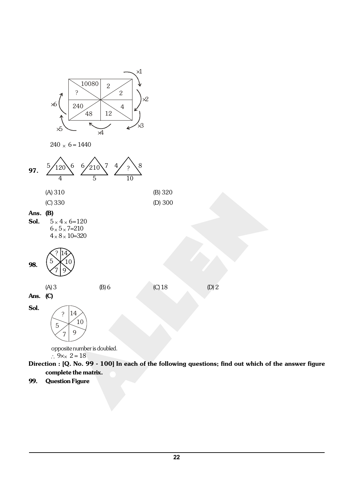![](_page_21_Figure_0.jpeg)

![](_page_21_Figure_1.jpeg)

![](_page_21_Figure_2.jpeg)

![](_page_21_Figure_3.jpeg)

**Sol.**  $5 \times 4 \times 6 = 120$  $6 \times 5 \times 7=210$  $4 \times 8 \times 10 = 320$ 

![](_page_21_Figure_5.jpeg)

![](_page_21_Figure_6.jpeg)

 $(A) 3$  (B) 6 (C) 18 (D) 2

Sol.

? 5 14 10  $7 \mid 9$ 

> opposite number is doubled.  $\therefore$  9× $\times$  2 = 18

Direction : [Q. No. 99 - 100] In each of the following questions; find out which of the answer figure complete the matrix.

#### 99. Question Figure